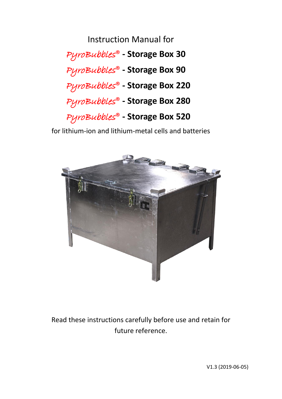Instruction Manual for PyroBubbles® **- Storage Box 30** PyroBubbles® **- Storage Box 90** PyroBubbles® **- Storage Box 220** PyroBubbles® **- Storage Box 280** PyroBubbles® **- Storage Box 520**

for lithium-ion and lithium-metal cells and batteries



Read these instructions carefully before use and retain for future reference.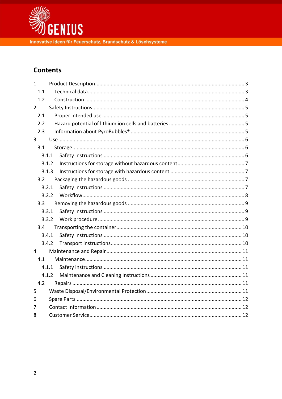

# **Contents**

| $\mathbf{1}$   |       |  |  |  |  |  |  |
|----------------|-------|--|--|--|--|--|--|
| 1.1            |       |  |  |  |  |  |  |
| 1.2            |       |  |  |  |  |  |  |
| $\overline{2}$ |       |  |  |  |  |  |  |
| 2.1            |       |  |  |  |  |  |  |
| 2.2            |       |  |  |  |  |  |  |
| 2.3            |       |  |  |  |  |  |  |
| 3              |       |  |  |  |  |  |  |
| 3.1            |       |  |  |  |  |  |  |
|                | 3.1.1 |  |  |  |  |  |  |
|                | 3.1.2 |  |  |  |  |  |  |
|                | 3.1.3 |  |  |  |  |  |  |
| 3.2            |       |  |  |  |  |  |  |
|                | 3.2.1 |  |  |  |  |  |  |
|                | 3.2.2 |  |  |  |  |  |  |
| 3.3            |       |  |  |  |  |  |  |
|                | 3.3.1 |  |  |  |  |  |  |
|                | 3.3.2 |  |  |  |  |  |  |
| 3.4            |       |  |  |  |  |  |  |
|                | 3.4.1 |  |  |  |  |  |  |
|                | 3.4.2 |  |  |  |  |  |  |
| $\overline{4}$ |       |  |  |  |  |  |  |
| 4.1            |       |  |  |  |  |  |  |
|                | 4.1.1 |  |  |  |  |  |  |
|                | 4.1.2 |  |  |  |  |  |  |
| 4.2            |       |  |  |  |  |  |  |
| 5              |       |  |  |  |  |  |  |
| 6              |       |  |  |  |  |  |  |
| 7              |       |  |  |  |  |  |  |
| 8              |       |  |  |  |  |  |  |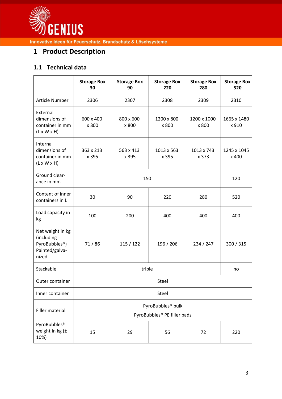

# <span id="page-2-0"></span>**1 Product Description**

# <span id="page-2-1"></span>**1.1 Technical data**

|                                                                                         | <b>Storage Box</b><br>30                                     | <b>Storage Box</b><br>90 | <b>Storage Box</b><br>220 | <b>Storage Box</b><br>280 | <b>Storage Box</b><br>520 |  |
|-----------------------------------------------------------------------------------------|--------------------------------------------------------------|--------------------------|---------------------------|---------------------------|---------------------------|--|
| <b>Article Number</b>                                                                   | 2306                                                         | 2307                     | 2308                      | 2309                      | 2310                      |  |
| External<br>dimensions of<br>container in mm<br>$(L \times W \times H)$                 | 600 x 400<br>x 800                                           | 800 x 600<br>x 800       | 1200 x 800<br>x 800       | 1200 x 1000<br>x 800      | 1665 x 1480<br>x 910      |  |
| Internal<br>dimensions of<br>container in mm<br>$(L \times W \times H)$                 | 363 x 213<br>x 395                                           | 563 x 413<br>x 395       | 1013 x 563<br>x 395       | 1013 x 743<br>x 373       | 1245 x 1045<br>x 400      |  |
| Ground clear-<br>ance in mm                                                             |                                                              | 120                      |                           |                           |                           |  |
| Content of inner<br>containers in L                                                     | 30                                                           | 90                       | 220                       | 280                       | 520                       |  |
| Load capacity in<br>kg                                                                  | 100                                                          | 200                      | 400                       | 400                       | 400                       |  |
| Net weight in kg<br>(including<br>PyroBubbles <sup>®</sup> )<br>Painted/galva-<br>nized | 71/86                                                        | 115 / 122                | 196 / 206                 | 234 / 247                 | 300 / 315                 |  |
| Stackable                                                                               |                                                              | no                       |                           |                           |                           |  |
| Outer container                                                                         | Steel                                                        |                          |                           |                           |                           |  |
| Inner container                                                                         | Steel                                                        |                          |                           |                           |                           |  |
| Filler material                                                                         | PyroBubbles <sup>®</sup> bulk<br>PyroBubbles® PE filler pads |                          |                           |                           |                           |  |
| PyroBubbles <sup>®</sup><br>weight in kg $(\pm$<br>10%)                                 | 15                                                           | 29                       | 56                        | 72                        | 220                       |  |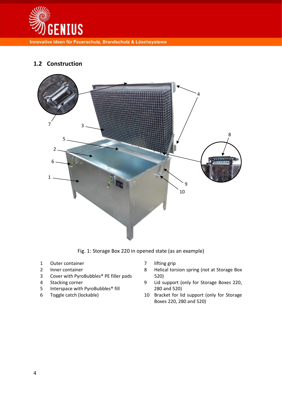

# <span id="page-3-0"></span>**1.2 Construction**



Fig. 1: Storage Box 220 in opened state (as an example)

- 1 Outer container
- 2 Inner container
- 3 Cover with PyroBubbles® PE filler pads
- 4 Stacking corner
- 5 Interspace with PyroBubbles® fill
- 6 Toggle catch (lockable)
- 7 lifting grip
- 8 Helical torsion spring (not at Storage Box 520)
- 9 Lid support (only for Storage Boxes 220, 280 and 520)
- 10 Bracket for lid support (only for Storage Boxes 220, 280 and 520)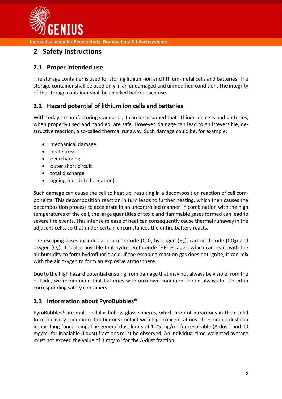

# <span id="page-4-0"></span>**2 Safety Instructions**

## <span id="page-4-1"></span>**2.1 Proper intended use**

The storage container is used for storing lithium-ion and lithium-metal cells and batteries. The storage container shall be used only in an undamaged and unmodified condition. The integrity of the storage container shall be checked before each use.

## <span id="page-4-2"></span>**2.2 Hazard potential of lithium ion cells and batteries**

With today's manufacturing standards, it can be assumed that lithium-ion cells and batteries, when properly used and handled, are safe. However, damage can lead to an irreversible, destructive reaction, a so-called thermal runaway. Such damage could be, for example:

- mechanical damage
- heat stress
- overcharging
- outer short circuit
- total discharge
- ageing (dendrite formation)

Such damage can cause the cell to heat up, resulting in a decomposition reaction of cell components. This decomposition reaction in turn leads to further heating, which then causes the decomposition process to accelerate in an uncontrolled manner. In combination with the high temperatures of the cell, the large quantities of toxic and flammable gases formed can lead to severe fire events. This intense release of heat can consequently cause thermal runaway in the adjacent cells, so that under certain circumstances the entire battery reacts.

The escaping gases include carbon monoxide (CO), hydrogen  $(H_2)$ , carbon dioxide (CO<sub>2</sub>) and oxygen  $(O_2)$ . It is also possible that hydrogen fluoride (HF) escapes, which can react with the air humidity to form hydrofluoric acid. If the escaping reaction gas does not ignite, it can mix with the air oxygen to form an explosive atmosphere.

Due to the high hazard potential ensuing from damage that may not always be visible from the outside, we recommend that batteries with unknown condition should always be stored in corresponding safety containers.

## <span id="page-4-3"></span>**2.3 Information about PyroBubbles®**

PyroBubbles® are multi-cellular hollow glass spheres, which are not hazardous in their solid form (delivery condition). Continuous contact with high concentrations of respirable dust can impair lung functioning. The general dust limits of 1.25 mg/m<sup>3</sup> for respirable (A dust) and 10 mg/m<sup>3</sup> for inhalable (I dust) fractions must be observed. An individual time-weighted average must not exceed the value of 3 mg/m<sup>3</sup> for the A-dust fraction.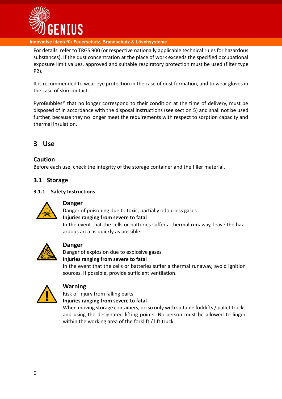

For details, refer to TRGS 900 (or respective nationally applicable technical rules for hazardous substances). If the dust concentration at the place of work exceeds the specified occupational exposure limit values, approved and suitable respiratory protection must be used (filter type P2).

It is recommended to wear eye protection in the case of dust formation, and to wear gloves in the case of skin contact.

PyroBubbles® that no longer correspond to their condition at the time of delivery, must be disposed of in accordance with the disposal instructions (see section [5\)](#page-10-4) and shall not be used further, because they no longer meet the requirements with respect to sorption capacity and thermal insulation.

# <span id="page-5-0"></span>**3 Use**

## **Caution**

Before each use, check the integrity of the storage container and the filler material.

### <span id="page-5-1"></span>**3.1 Storage**

#### <span id="page-5-2"></span>**3.1.1 Safety Instructions**



## **Danger**

Danger of poisoning due to toxic, partially odourless gases **Injuries ranging from severe to fatal** In the event that the cells or batteries suffer a thermal runaway, leave the hazardous area as quickly as possible.



## **Danger**

Danger of explosion due to explosive gases **Injuries ranging from severe to fatal**

In the event that the cells or batteries suffer a thermal runaway, avoid ignition sources. If possible, provide sufficient ventilation.



#### **Warning**

Risk of injury from falling parts **Injuries ranging from severe to fatal**

When moving storage containers, do so only with suitable forklifts / pallet trucks and using the designated lifting points. No person must be allowed to linger within the working area of the forklift / lift truck.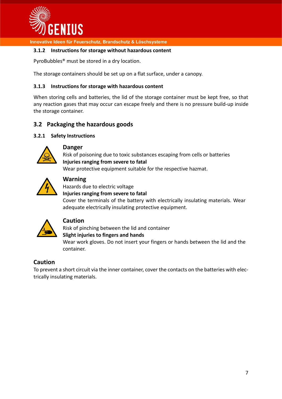

#### <span id="page-6-0"></span>**3.1.2 Instructions for storage without hazardous content**

PyroBubbles® must be stored in a dry location.

The storage containers should be set up on a flat surface, under a canopy.

#### <span id="page-6-1"></span>**3.1.3 Instructions for storage with hazardous content**

When storing cells and batteries, the lid of the storage container must be kept free, so that any reaction gases that may occur can escape freely and there is no pressure build-up inside the storage container.

## <span id="page-6-2"></span>**3.2 Packaging the hazardous goods**

#### <span id="page-6-3"></span>**3.2.1 Safety Instructions**



#### **Danger**

Risk of poisoning due to toxic substances escaping from cells or batteries **Injuries ranging from severe to fatal**

Wear protective equipment suitable for the respective hazmat.



## **Warning**

Hazards due to electric voltage



Cover the terminals of the battery with electrically insulating materials. Wear adequate electrically insulating protective equipment.



#### **Caution**

container.

Risk of pinching between the lid and container **Slight injuries to fingers and hands** Wear work gloves. Do not insert your fingers or hands between the lid and the

#### **Caution**

To prevent a short circuit via the inner container, cover the contacts on the batteries with electrically insulating materials.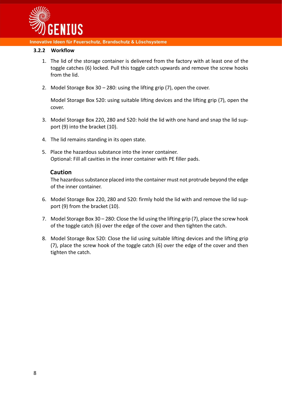

#### <span id="page-7-0"></span>**3.2.2 Workflow**

- 1. The lid of the storage container is delivered from the factory with at least one of the toggle catches (6) locked. Pull this toggle catch upwards and remove the screw hooks from the lid.
- 2. Model Storage Box 30 280: using the lifting grip (7), open the cover.

Model Storage Box 520: using suitable lifting devices and the lifting grip (7), open the cover.

- 3. Model Storage Box 220, 280 and 520: hold the lid with one hand and snap the lid support (9) into the bracket (10).
- 4. The lid remains standing in its open state.
- 5. Place the hazardous substance into the inner container. Optional: Fill all cavities in the inner container with PE filler pads.

#### **Caution**

The hazardous substance placed into the container must not protrude beyond the edge of the inner container.

- 6. Model Storage Box 220, 280 and 520: firmly hold the lid with and remove the lid support (9) from the bracket (10).
- 7. Model Storage Box 30 280: Close the lid using the lifting grip (7), place the screw hook of the toggle catch (6) over the edge of the cover and then tighten the catch.
- 8. Model Storage Box 520: Close the lid using suitable lifting devices and the lifting grip (7), place the screw hook of the toggle catch (6) over the edge of the cover and then tighten the catch.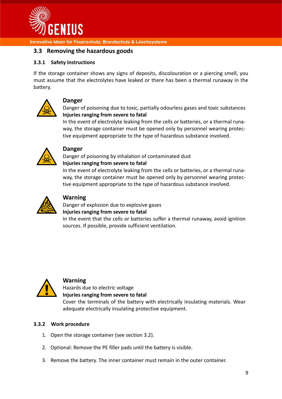

## <span id="page-8-0"></span>**3.3 Removing the hazardous goods**

#### <span id="page-8-1"></span>**3.3.1 Safety Instructions**

If the storage container shows any signs of deposits, discolouration or a piercing smell, you must assume that the electrolytes have leaked or there has been a thermal runaway in the battery.



#### **Danger**

Danger of poisoning due to toxic, partially odourless gases and toxic substances **Injuries ranging from severe to fatal**

In the event of electrolyte leaking from the cells or batteries, or a thermal runaway, the storage container must be opened only by personnel wearing protective equipment appropriate to the type of hazardous substance involved.



### **Danger**

Danger of poisoning by inhalation of contaminated dust

#### **Injuries ranging from severe to fatal**

In the event of electrolyte leaking from the cells or batteries, or a thermal runaway, the storage container must be opened only by personnel wearing protective equipment appropriate to the type of hazardous substance involved.



### **Warning**

Danger of explosion due to explosive gases **Injuries ranging from severe to fatal**

In the event that the cells or batteries suffer a thermal runaway, avoid ignition sources. If possible, provide sufficient ventilation.



#### **Warning**

Hazards due to electric voltage **Injuries ranging from severe to fatal**

Cover the terminals of the battery with electrically insulating materials. Wear adequate electrically insulating protective equipment.

#### <span id="page-8-2"></span>**3.3.2 Work procedure**

- 1. Open the storage container (see section [3.2\)](#page-6-2).
- 2. Optional: Remove the PE filler pads until the battery is visible.
- 3. Remove the battery. The inner container must remain in the outer container.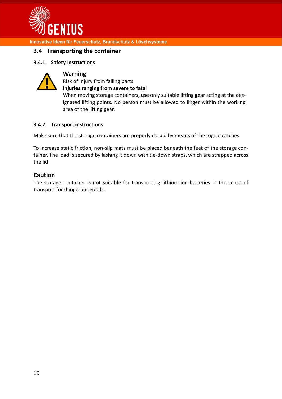

#### <span id="page-9-0"></span>**3.4 Transporting the container**

#### <span id="page-9-1"></span>**3.4.1 Safety Instructions**



#### **Warning**

Risk of injury from falling parts **Injuries ranging from severe to fatal**

When moving storage containers, use only suitable lifting gear acting at the designated lifting points. No person must be allowed to linger within the working area of the lifting gear.

#### <span id="page-9-2"></span>**3.4.2 Transport instructions**

Make sure that the storage containers are properly closed by means of the toggle catches.

To increase static friction, non-slip mats must be placed beneath the feet of the storage container. The load is secured by lashing it down with tie-down straps, which are strapped across the lid.

#### **Caution**

<span id="page-9-3"></span>The storage container is not suitable for transporting lithium-ion batteries in the sense of transport for dangerous goods.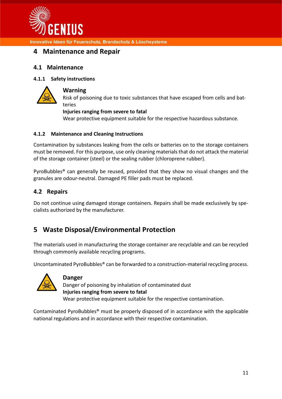

# **4 Maintenance and Repair**

## <span id="page-10-0"></span>**4.1 Maintenance**

### <span id="page-10-1"></span>**4.1.1 Safety instructions**



#### **Warning**

Risk of poisoning due to toxic substances that have escaped from cells and batteries

#### **Injuries ranging from severe to fatal**

Wear protective equipment suitable for the respective hazardous substance.

#### <span id="page-10-2"></span>**4.1.2 Maintenance and Cleaning Instructions**

Contamination by substances leaking from the cells or batteries on to the storage containers must be removed. For this purpose, use only cleaning materials that do not attack the material of the storage container (steel) or the sealing rubber (chloroprene rubber).

PyroBubbles® can generally be reused, provided that they show no visual changes and the granules are odour-neutral. Damaged PE filler pads must be replaced.

## <span id="page-10-3"></span>**4.2 Repairs**

Do not continue using damaged storage containers. Repairs shall be made exclusively by specialists authorized by the manufacturer.

# <span id="page-10-4"></span>**5 Waste Disposal/Environmental Protection**

The materials used in manufacturing the storage container are recyclable and can be recycled through commonly available recycling programs.

Uncontaminated PyroBubbles® can be forwarded to a construction-material recycling process.



#### **Danger**

Danger of poisoning by inhalation of contaminated dust **Injuries ranging from severe to fatal** Wear protective equipment suitable for the respective contamination.

Contaminated PyroBubbles® must be properly disposed of in accordance with the applicable national regulations and in accordance with their respective contamination.